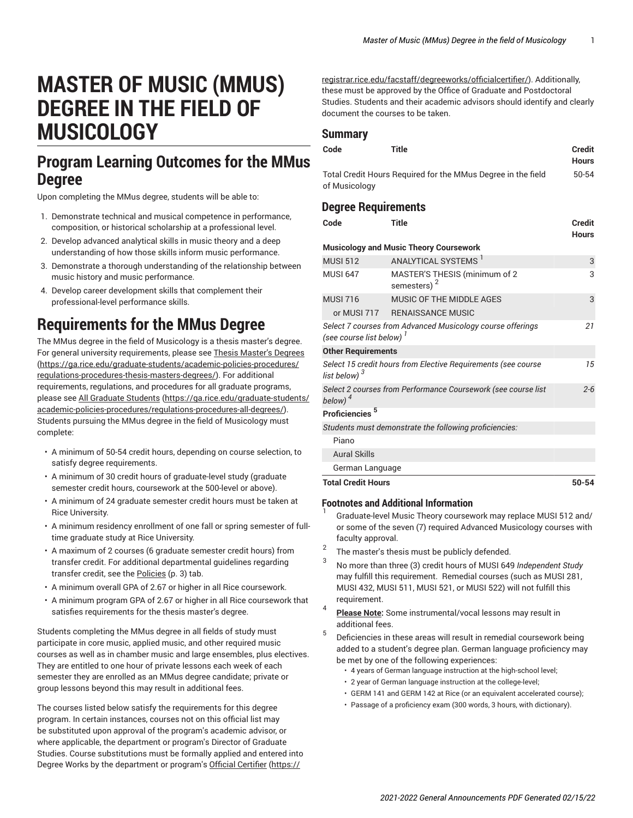# **MASTER OF MUSIC (MMUS) DEGREE IN THE FIELD OF MUSICOLOGY**

## **Program Learning Outcomes for the MMus Degree**

Upon completing the MMus degree, students will be able to:

- 1. Demonstrate technical and musical competence in performance, composition, or historical scholarship at a professional level.
- 2. Develop advanced analytical skills in music theory and a deep understanding of how those skills inform music performance.
- 3. Demonstrate a thorough understanding of the relationship between music history and music performance.
- 4. Develop career development skills that complement their professional-level performance skills.

## **Requirements for the MMus Degree**

The MMus degree in the field of Musicology is a thesis master's degree. For general university requirements, please see Thesis [Master's](https://ga.rice.edu/graduate-students/academic-policies-procedures/regulations-procedures-thesis-masters-degrees/) Degrees ([https://ga.rice.edu/graduate-students/academic-policies-procedures/](https://ga.rice.edu/graduate-students/academic-policies-procedures/regulations-procedures-thesis-masters-degrees/) [regulations-procedures-thesis-masters-degrees/\)](https://ga.rice.edu/graduate-students/academic-policies-procedures/regulations-procedures-thesis-masters-degrees/). For additional requirements, regulations, and procedures for all graduate programs, please see [All Graduate Students](https://ga.rice.edu/graduate-students/academic-policies-procedures/regulations-procedures-all-degrees/) ([https://ga.rice.edu/graduate-students/](https://ga.rice.edu/graduate-students/academic-policies-procedures/regulations-procedures-all-degrees/) [academic-policies-procedures/regulations-procedures-all-degrees/](https://ga.rice.edu/graduate-students/academic-policies-procedures/regulations-procedures-all-degrees/)). Students pursuing the MMus degree in the field of Musicology must complete:

- A minimum of 50-54 credit hours, depending on course selection, to satisfy degree requirements.
- A minimum of 30 credit hours of graduate-level study (graduate semester credit hours, coursework at the 500-level or above).
- A minimum of 24 graduate semester credit hours must be taken at Rice University.
- A minimum residency enrollment of one fall or spring semester of fulltime graduate study at Rice University.
- A maximum of 2 courses (6 graduate semester credit hours) from transfer credit. For additional departmental guidelines regarding transfer credit, see the [Policies \(p. 3](#page-2-0)) tab.
- A minimum overall GPA of 2.67 or higher in all Rice coursework.
- A minimum program GPA of 2.67 or higher in all Rice coursework that satisfies requirements for the thesis master's degree.

Students completing the MMus degree in all fields of study must participate in core music, applied music, and other required music courses as well as in chamber music and large ensembles, plus electives. They are entitled to one hour of private lessons each week of each semester they are enrolled as an MMus degree candidate; private or group lessons beyond this may result in additional fees.

The courses listed below satisfy the requirements for this degree program. In certain instances, courses not on this official list may be substituted upon approval of the program's academic advisor, or where applicable, the department or program's Director of Graduate Studies. Course substitutions must be formally applied and entered into Degree Works by the department or program's Official [Certifier](https://registrar.rice.edu/facstaff/degreeworks/officialcertifier/) ([https://](https://registrar.rice.edu/facstaff/degreeworks/officialcertifier/)

[registrar.rice.edu/facstaff/degreeworks/officialcertifier/](https://registrar.rice.edu/facstaff/degreeworks/officialcertifier/)). Additionally, these must be approved by the Office of Graduate and Postdoctoral Studies. Students and their academic advisors should identify and clearly document the courses to be taken.

#### **Summary**

| Code          | Title                                                        | Credit<br><b>Hours</b> |
|---------------|--------------------------------------------------------------|------------------------|
|               | Total Credit Hours Required for the MMus Degree in the field | 50-54                  |
| of Musicology |                                                              |                        |

### **Degree Requirements**

| Code                                          | Title                                                         | Credit<br><b>Hours</b> |
|-----------------------------------------------|---------------------------------------------------------------|------------------------|
| <b>Musicology and Music Theory Coursework</b> |                                                               |                        |
| <b>MUSI 512</b>                               | ANALYTICAL SYSTEMS <sup>1</sup>                               | 3                      |
| <b>MUSI 647</b>                               | MASTER'S THESIS (minimum of 2<br>semesters) <sup>2</sup>      | 3                      |
| <b>MUSI 716</b>                               | MUSIC OF THE MIDDLE AGES                                      | 3                      |
|                                               | or MUSI 717 RENAISSANCE MUSIC                                 |                        |
| (see course list below) <sup>1</sup>          | Select 7 courses from Advanced Musicology course offerings    | 21                     |
| <b>Other Requirements</b>                     |                                                               |                        |
| list below) <sup>3</sup>                      | Select 15 credit hours from Elective Requirements (see course | 15                     |
| below) $^4$                                   | Select 2 courses from Performance Coursework (see course list | $2 - 6$                |
| Proficiencies <sup>5</sup>                    |                                                               |                        |
|                                               | Students must demonstrate the following proficiencies:        |                        |
| Piano                                         |                                                               |                        |
| <b>Aural Skills</b>                           |                                                               |                        |
| German Language                               |                                                               |                        |
| <b>Total Credit Hours</b>                     |                                                               | 50-54                  |

#### **Footnotes and Additional Information** 1

- Graduate-level Music Theory coursework may replace MUSI 512 and/ or some of the seven (7) required Advanced Musicology courses with faculty approval.
- 2 The master's thesis must be publicly defended.
- 3 No more than three (3) credit hours of MUSI 649 *Independent Study* may fulfill this requirement. Remedial courses (such as MUSI 281, MUSI 432, MUSI 511, MUSI 521, or MUSI 522) will not fulfill this requirement.
- 4 **Please Note:** Some instrumental/vocal lessons may result in additional fees. 5

Deficiencies in these areas will result in remedial coursework being added to a student's degree plan. German language proficiency may be met by one of the following experiences:

- 4 years of German language instruction at the high-school level;
- 2 year of German language instruction at the college-level;
- GERM 141 and GERM 142 at Rice (or an equivalent accelerated course);
- Passage of a proficiency exam (300 words, 3 hours, with dictionary).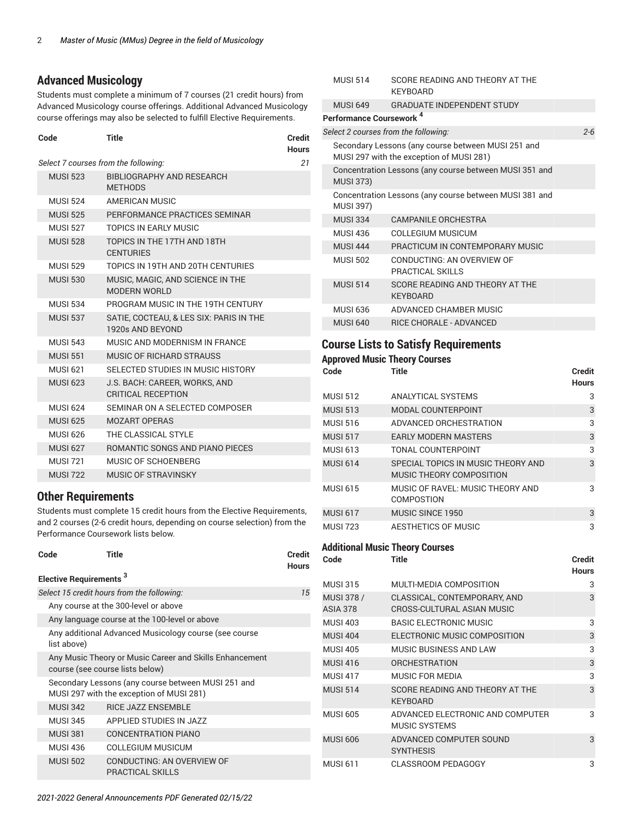## **Advanced Musicology**

Students must complete a minimum of 7 courses (21 credit hours) from Advanced Musicology course offerings. Additional Advanced Musicology course offerings may also be selected to fulfill Elective Requirements.

| Code | <b>Title</b> | <b>Credit</b> |
|------|--------------|---------------|
|      |              | <b>Hours</b>  |

*Select 7 courses from the following: 21*

| <b>MUSI 523</b> | <b>BIBLIOGRAPHY AND RESEARCH</b><br><b>METHODS</b>          |
|-----------------|-------------------------------------------------------------|
| <b>MUSI 524</b> | AMERICAN MUSIC                                              |
| <b>MUSI 525</b> | PERFORMANCE PRACTICES SEMINAR                               |
| <b>MUSL527</b>  | TOPICS IN FARIY MUSIC                                       |
| <b>MUSI 528</b> | TOPICS IN THE 17TH AND 18TH<br><b>CENTURIES</b>             |
| <b>MUSL529</b>  | TOPICS IN 19TH AND 20TH CENTURIES                           |
| <b>MUSL530</b>  | MUSIC. MAGIC. AND SCIENCE IN THE<br><b>MODERN WORLD</b>     |
| <b>MUSI 534</b> | PROGRAM MUSIC IN THE 19TH CENTURY                           |
| <b>MUSI 537</b> | SATIE, COCTEAU, & LES SIX: PARIS IN THE<br>1920s AND BEYOND |
| <b>MUSI 543</b> | MUSIC AND MODERNISM IN FRANCE                               |
| <b>MUSI 551</b> | MUSIC OF RICHARD STRAUSS                                    |
| <b>MUSI 621</b> | SELECTED STUDIES IN MUSIC HISTORY                           |
| <b>MUSI 623</b> | J.S. BACH: CAREER, WORKS, AND<br>CRITICAL RECEPTION         |
| MUSI 624        | SEMINAR ON A SELECTED COMPOSER                              |
| <b>MUSI 625</b> | <b>MOZART OPERAS</b>                                        |
| <b>MUSI 626</b> | THE CLASSICAL STYLE                                         |
| <b>MUSI 627</b> | ROMANTIC SONGS AND PIANO PIECES                             |
| <b>MUSI 721</b> | MUSIC OF SCHOENBERG                                         |
| <b>MUSI 722</b> | MUSIC OF STRAVINSKY                                         |

#### **Other Requirements**

Students must complete 15 credit hours from the Elective Requirements, and 2 courses (2-6 credit hours, depending on course selection) from the Performance Coursework lists below.

| Code |                                    | <b>Title</b>                                                                                   | Credit<br><b>Hours</b> |
|------|------------------------------------|------------------------------------------------------------------------------------------------|------------------------|
|      | Elective Requirements <sup>3</sup> |                                                                                                |                        |
|      |                                    | Select 15 credit hours from the following:                                                     | 15                     |
|      |                                    | Any course at the 300-level or above                                                           |                        |
|      |                                    | Any language course at the 100-level or above                                                  |                        |
|      | list above)                        | Any additional Advanced Musicology course (see course                                          |                        |
|      |                                    | Any Music Theory or Music Career and Skills Enhancement<br>course (see course lists below)     |                        |
|      |                                    | Secondary Lessons (any course between MUSI 251 and<br>MUSI 297 with the exception of MUSI 281) |                        |
|      | <b>MUSI 342</b>                    | <b>RICE JAZZ ENSEMBLE</b>                                                                      |                        |
|      | <b>MUSI 345</b>                    | APPLIED STUDIES IN JAZZ                                                                        |                        |
|      | <b>MUSI 381</b>                    | <b>CONCENTRATION PIANO</b>                                                                     |                        |
|      | <b>MUSI 436</b>                    | COLLEGIUM MUSICUM                                                                              |                        |
|      | <b>MUSI 502</b>                    | CONDUCTING: AN OVERVIEW OF<br>PRACTICAL SKILLS                                                 |                        |

| <b>MUSI 514</b>                     | SCORE READING AND THEORY AT THE<br><b>KFYBOARD</b>                                             |         |
|-------------------------------------|------------------------------------------------------------------------------------------------|---------|
| <b>MUSI 649</b>                     | <b>GRADUATE INDEPENDENT STUDY</b>                                                              |         |
| Performance Coursework <sup>4</sup> |                                                                                                |         |
|                                     | Select 2 courses from the following:                                                           | $2 - 6$ |
|                                     | Secondary Lessons (any course between MUSI 251 and<br>MUSI 297 with the exception of MUSI 281) |         |
| <b>MUSI 373)</b>                    | Concentration Lessons (any course between MUSI 351 and                                         |         |
| <b>MUSI 397)</b>                    | Concentration Lessons (any course between MUSI 381 and                                         |         |
| <b>MUSI 334</b>                     | <b>CAMPANILE ORCHESTRA</b>                                                                     |         |
| <b>MUSI 436</b>                     | COLLEGIUM MUSICUM                                                                              |         |
| <b>MUSI 444</b>                     | PRACTICUM IN CONTEMPORARY MUSIC                                                                |         |
| MUSI 502                            | CONDUCTING: AN OVERVIEW OF<br>PRACTICAL SKILLS                                                 |         |
| <b>MUSI 514</b>                     | SCORE READING AND THEORY AT THE<br><b>KEYBOARD</b>                                             |         |
| <b>MUSI 636</b>                     | ADVANCED CHAMBER MUSIC                                                                         |         |
| <b>MUSI 640</b>                     | RICE CHORALE - ADVANCED                                                                        |         |

#### **Course Lists to Satisfy Requirements Approved Music Theory Courses**

| Approved Music Theory Courses |                                                                |                               |
|-------------------------------|----------------------------------------------------------------|-------------------------------|
| Code                          | <b>Title</b>                                                   | <b>Credit</b><br><b>Hours</b> |
| <b>MUSI 512</b>               | <b>ANALYTICAL SYSTEMS</b>                                      | 3                             |
| <b>MUSI 513</b>               | <b>MODAL COUNTERPOINT</b>                                      | 3                             |
| <b>MUSI 516</b>               | ADVANCED ORCHESTRATION                                         | 3                             |
| <b>MUSI 517</b>               | <b>EARLY MODERN MASTERS</b>                                    | 3                             |
| <b>MUSI 613</b>               | TONAL COUNTERPOINT                                             | 3                             |
| <b>MUSI 614</b>               | SPECIAL TOPICS IN MUSIC THEORY AND<br>MUSIC THEORY COMPOSITION | 3                             |
| <b>MUSI 615</b>               | MUSIC OF RAVEL: MUSIC THEORY AND<br>COMPOSTION                 | 3                             |
| <b>MUSI 617</b>               | MUSIC SINCE 1950                                               | 3                             |
| <b>MUSI 723</b>               | AESTHETICS OF MUSIC                                            | 3                             |

#### **Additional Music Theory Courses**

| Code                   | Title                                                      | <b>Credit</b><br><b>Hours</b> |
|------------------------|------------------------------------------------------------|-------------------------------|
| MUSI 315               | MULTI-MEDIA COMPOSITION                                    | 3                             |
| MUSI 378 /<br>ASIA 378 | CLASSICAL, CONTEMPORARY, AND<br>CROSS-CULTURAL ASIAN MUSIC | 3                             |
| <b>MUSI 403</b>        | <b>BASIC ELECTRONIC MUSIC</b>                              | 3                             |
| <b>MUSI 404</b>        | ELECTRONIC MUSIC COMPOSITION                               | 3                             |
| <b>MUSI 405</b>        | MUSIC BUSINESS AND LAW                                     | 3                             |
| <b>MUSI 416</b>        | <b>ORCHESTRATION</b>                                       | 3                             |
| <b>MUSI 417</b>        | MUSIC FOR MEDIA                                            | 3                             |
| <b>MUSI 514</b>        | SCORE READING AND THEORY AT THE<br><b>KEYBOARD</b>         | 3                             |
| MUSI 605               | ADVANCED ELECTRONIC AND COMPUTER<br><b>MUSIC SYSTEMS</b>   | 3                             |
| <b>MUSI 606</b>        | ADVANCED COMPUTER SOUND<br><b>SYNTHESIS</b>                | 3                             |
| <b>MUSI 611</b>        | <b>CLASSROOM PEDAGOGY</b>                                  | 3                             |
|                        |                                                            |                               |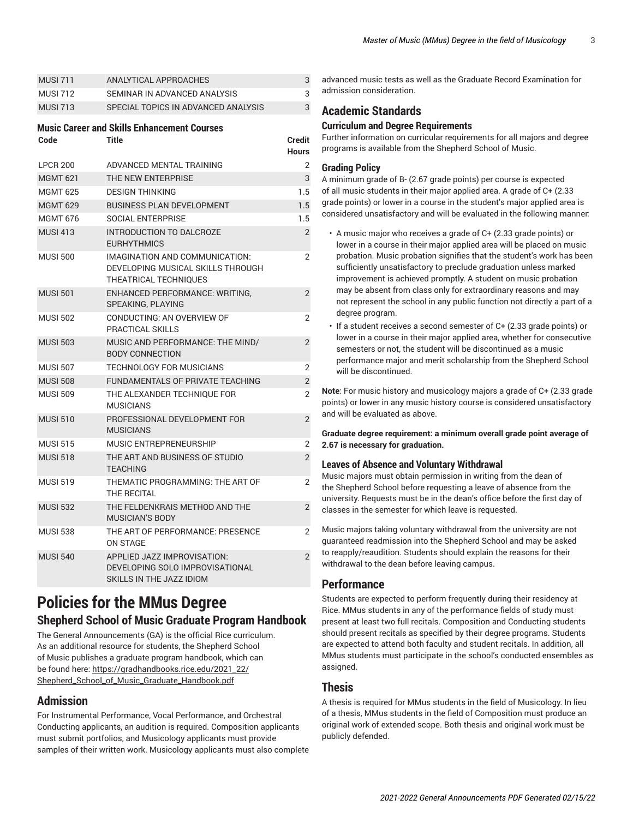| <b>MUSI 713</b> | SPECIAL TOPICS IN ADVANCED ANALYSIS |  |
|-----------------|-------------------------------------|--|
|                 |                                     |  |

#### **Music Career and Skills Enhancement Courses**

| Code            | Title                                                                                        | <b>Credit</b><br><b>Hours</b> |
|-----------------|----------------------------------------------------------------------------------------------|-------------------------------|
| <b>LPCR 200</b> | ADVANCED MENTAL TRAINING                                                                     | 2                             |
| <b>MGMT 621</b> | THE NEW ENTERPRISE                                                                           | 3                             |
| <b>MGMT 625</b> | <b>DESIGN THINKING</b>                                                                       | 1.5                           |
| <b>MGMT 629</b> | <b>BUSINESS PLAN DEVELOPMENT</b>                                                             | 1.5                           |
| <b>MGMT 676</b> | <b>SOCIAL ENTERPRISE</b>                                                                     | 1.5                           |
| <b>MUSI 413</b> | <b>INTRODUCTION TO DALCROZE</b><br><b>EURHYTHMICS</b>                                        | $\overline{2}$                |
| <b>MUSI 500</b> | IMAGINATION AND COMMUNICATION:<br>DEVELOPING MUSICAL SKILLS THROUGH<br>THEATRICAL TECHNIQUES | $\overline{2}$                |
| <b>MUSI 501</b> | ENHANCED PERFORMANCE: WRITING.<br>SPEAKING, PLAYING                                          | $\overline{2}$                |
| <b>MUSI 502</b> | CONDUCTING: AN OVERVIEW OF<br><b>PRACTICAL SKILLS</b>                                        | 2                             |
| <b>MUSI 503</b> | MUSIC AND PERFORMANCE: THE MIND/<br><b>BODY CONNECTION</b>                                   | $\overline{2}$                |
| <b>MUSI 507</b> | <b>TECHNOLOGY FOR MUSICIANS</b>                                                              | 2                             |
| <b>MUSI 508</b> | FUNDAMENTALS OF PRIVATE TEACHING                                                             | $\overline{2}$                |
| <b>MUSI 509</b> | THE ALEXANDER TECHNIQUE FOR<br><b>MUSICIANS</b>                                              | $\overline{2}$                |
| <b>MUSI 510</b> | PROFESSIONAL DEVELOPMENT FOR<br><b>MUSICIANS</b>                                             | $\overline{2}$                |
| <b>MUSI 515</b> | MUSIC ENTREPRENEURSHIP                                                                       | 2                             |
| <b>MUSI 518</b> | THE ART AND BUSINESS OF STUDIO<br><b>TEACHING</b>                                            | $\overline{2}$                |
| <b>MUSI 519</b> | THEMATIC PROGRAMMING: THE ART OF<br>THE RECITAL                                              | $\overline{2}$                |
| <b>MUSI 532</b> | THE FELDENKRAIS METHOD AND THE<br><b>MUSICIAN'S BODY</b>                                     | $\overline{2}$                |
| <b>MUSI 538</b> | THE ART OF PERFORMANCE: PRESENCE<br>ON STAGE                                                 | $\overline{2}$                |
| <b>MUSI 540</b> | APPLIED JAZZ IMPROVISATION:<br>DEVELOPING SOLO IMPROVISATIONAL<br>SKILLS IN THE JAZZ IDIOM   | $\overline{2}$                |

## <span id="page-2-0"></span>**Policies for the MMus Degree Shepherd School of Music Graduate Program Handbook**

The General Announcements (GA) is the official Rice curriculum. As an additional resource for students, the Shepherd School of Music publishes a graduate program handbook, which can be found here: [https://gradhandbooks.rice.edu/2021\\_22/](https://gradhandbooks.rice.edu/2021_22/Shepherd_School_of_Music_Graduate_Handbook.pdf) [Shepherd\\_School\\_of\\_Music\\_Graduate\\_Handbook.pdf](https://gradhandbooks.rice.edu/2021_22/Shepherd_School_of_Music_Graduate_Handbook.pdf)

## **Admission**

For Instrumental Performance, Vocal Performance, and Orchestral Conducting applicants, an audition is required. Composition applicants must submit portfolios, and Musicology applicants must provide samples of their written work. Musicology applicants must also complete

advanced music tests as well as the Graduate Record Examination for admission consideration.

## **Academic Standards**

#### **Curriculum and Degree Requirements**

Further information on curricular requirements for all majors and degree programs is available from the Shepherd School of Music.

#### **Grading Policy**

A minimum grade of B- (2.67 grade points) per course is expected of all music students in their major applied area. A grade of C+ (2.33 grade points) or lower in a course in the student's major applied area is considered unsatisfactory and will be evaluated in the following manner:

- A music major who receives a grade of C+ (2.33 grade points) or lower in a course in their major applied area will be placed on music probation. Music probation signifies that the student's work has been sufficiently unsatisfactory to preclude graduation unless marked improvement is achieved promptly. A student on music probation may be absent from class only for extraordinary reasons and may not represent the school in any public function not directly a part of a degree program.
- If a student receives a second semester of C+ (2.33 grade points) or lower in a course in their major applied area, whether for consecutive semesters or not, the student will be discontinued as a music performance major and merit scholarship from the Shepherd School will be discontinued.

**Note**: For music history and musicology majors a grade of C+ (2.33 grade points) or lower in any music history course is considered unsatisfactory and will be evaluated as above.

**Graduate degree requirement: a minimum overall grade point average of 2.67 is necessary for graduation.**

#### **Leaves of Absence and Voluntary Withdrawal**

Music majors must obtain permission in writing from the dean of the Shepherd School before requesting a leave of absence from the university. Requests must be in the dean's office before the first day of classes in the semester for which leave is requested.

Music majors taking voluntary withdrawal from the university are not guaranteed readmission into the Shepherd School and may be asked to reapply/reaudition. Students should explain the reasons for their withdrawal to the dean before leaving campus.

## **Performance**

Students are expected to perform frequently during their residency at Rice. MMus students in any of the performance fields of study must present at least two full recitals. Composition and Conducting students should present recitals as specified by their degree programs. Students are expected to attend both faculty and student recitals. In addition, all MMus students must participate in the school's conducted ensembles as assigned.

## **Thesis**

A thesis is required for MMus students in the field of Musicology. In lieu of a thesis, MMus students in the field of Composition must produce an original work of extended scope. Both thesis and original work must be publicly defended.